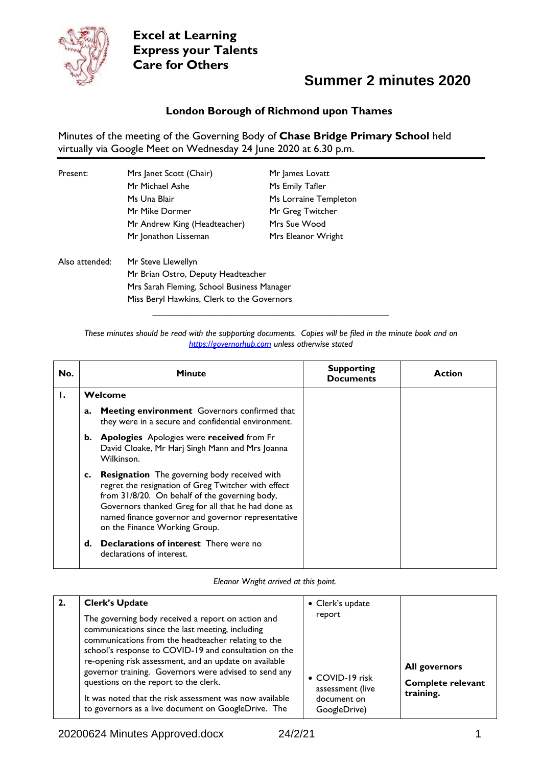

### **Summer 2 minutes 2020**

#### **London Borough of Richmond upon Thames**

Minutes of the meeting of the Governing Body of **Chase Bridge Primary School** held virtually via Google Meet on Wednesday 24 June 2020 at 6.30 p.m.

| Present:       | Mrs Janet Scott (Chair)                    | Mr James Lovatt       |  |
|----------------|--------------------------------------------|-----------------------|--|
|                | Mr Michael Ashe                            | Ms Emily Tafler       |  |
|                | Ms Una Blair                               | Ms Lorraine Templeton |  |
|                | Mr Mike Dormer                             | Mr Greg Twitcher      |  |
|                | Mr Andrew King (Headteacher)               | Mrs Sue Wood          |  |
|                | Mr Jonathon Lisseman                       | Mrs Eleanor Wright    |  |
| Also attended: | Mr Steve Llewellyn                         |                       |  |
|                | Mr Brian Ostro, Deputy Headteacher         |                       |  |
|                | Mrs Sarah Fleming, School Business Manager |                       |  |
|                | Miss Beryl Hawkins, Clerk to the Governors |                       |  |

*These minutes should be read with the supporting documents. Copies will be filed in the minute book and on [https://governorhub.com](https://governorhub.com/) unless otherwise stated*

**\_\_\_\_\_\_\_\_\_\_\_\_\_\_\_\_\_\_\_\_\_\_\_\_\_\_\_\_\_\_\_\_\_\_\_\_\_\_\_\_\_\_\_\_\_\_\_\_\_\_\_\_**

| No. |    | <b>Minute</b>                                                                                                                                                                                                                                                                                             | <b>Supporting</b><br><b>Documents</b> | Action |
|-----|----|-----------------------------------------------------------------------------------------------------------------------------------------------------------------------------------------------------------------------------------------------------------------------------------------------------------|---------------------------------------|--------|
| Ι.  |    | Welcome                                                                                                                                                                                                                                                                                                   |                                       |        |
|     | a. | Meeting environment Governors confirmed that<br>they were in a secure and confidential environment.                                                                                                                                                                                                       |                                       |        |
|     | b. | <b>Apologies</b> Apologies were received from Fr<br>David Cloake, Mr Harj Singh Mann and Mrs Joanna<br>Wilkinson.                                                                                                                                                                                         |                                       |        |
|     | c. | <b>Resignation</b> The governing body received with<br>regret the resignation of Greg Twitcher with effect<br>from 31/8/20. On behalf of the governing body,<br>Governors thanked Greg for all that he had done as<br>named finance governor and governor representative<br>on the Finance Working Group. |                                       |        |
|     | d. | <b>Declarations of interest</b> There were no<br>declarations of interest.                                                                                                                                                                                                                                |                                       |        |

*Eleanor Wright arrived at this point.*

| <b>Clerk's Update</b>                                                                                                                                                                                                                                                                                                                                                                                                                                                                                | • Clerk's update                                                             |                                                               |
|------------------------------------------------------------------------------------------------------------------------------------------------------------------------------------------------------------------------------------------------------------------------------------------------------------------------------------------------------------------------------------------------------------------------------------------------------------------------------------------------------|------------------------------------------------------------------------------|---------------------------------------------------------------|
| The governing body received a report on action and<br>communications since the last meeting, including<br>communications from the headteacher relating to the<br>school's response to COVID-19 and consultation on the<br>re-opening risk assessment, and an update on available<br>governor training. Governors were advised to send any<br>questions on the report to the clerk.<br>It was noted that the risk assessment was now available<br>to governors as a live document on GoogleDrive. The | report<br>• COVID-19 risk<br>assessment (live<br>document on<br>GoogleDrive) | <b>All governors</b><br><b>Complete relevant</b><br>training. |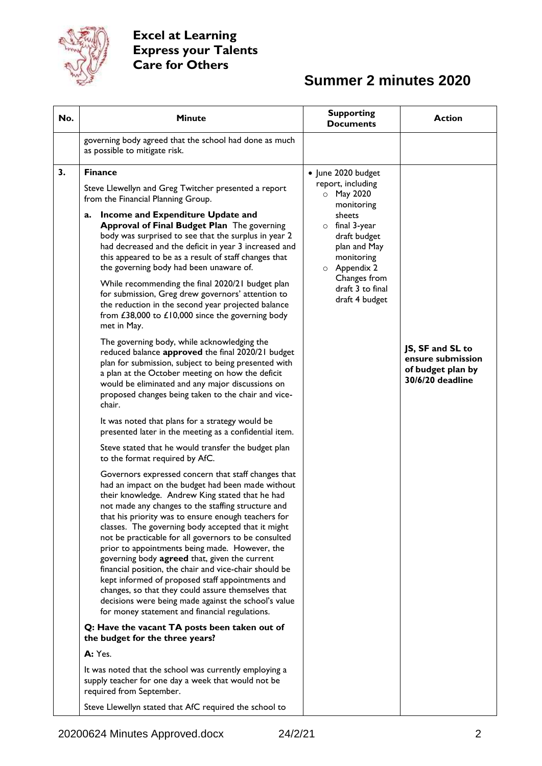

| No. | <b>Minute</b>                                                                                                                                                                                                                                                                                                                                                                                                                                                                                                                                                                                                                                                                                                                                                                                                                                                                                                                                                                                                                                                                                                                                                                                                                                                                                                                                                                                                                                                                                                                                                                                                                                                                                                                                                                                                                                                                                                                                                                                                                                                                                                                                                                                                                                                                               | <b>Supporting</b><br><b>Documents</b>                                                                                                                                                                                                    | <b>Action</b>                                                                  |
|-----|---------------------------------------------------------------------------------------------------------------------------------------------------------------------------------------------------------------------------------------------------------------------------------------------------------------------------------------------------------------------------------------------------------------------------------------------------------------------------------------------------------------------------------------------------------------------------------------------------------------------------------------------------------------------------------------------------------------------------------------------------------------------------------------------------------------------------------------------------------------------------------------------------------------------------------------------------------------------------------------------------------------------------------------------------------------------------------------------------------------------------------------------------------------------------------------------------------------------------------------------------------------------------------------------------------------------------------------------------------------------------------------------------------------------------------------------------------------------------------------------------------------------------------------------------------------------------------------------------------------------------------------------------------------------------------------------------------------------------------------------------------------------------------------------------------------------------------------------------------------------------------------------------------------------------------------------------------------------------------------------------------------------------------------------------------------------------------------------------------------------------------------------------------------------------------------------------------------------------------------------------------------------------------------------|------------------------------------------------------------------------------------------------------------------------------------------------------------------------------------------------------------------------------------------|--------------------------------------------------------------------------------|
|     | governing body agreed that the school had done as much<br>as possible to mitigate risk.                                                                                                                                                                                                                                                                                                                                                                                                                                                                                                                                                                                                                                                                                                                                                                                                                                                                                                                                                                                                                                                                                                                                                                                                                                                                                                                                                                                                                                                                                                                                                                                                                                                                                                                                                                                                                                                                                                                                                                                                                                                                                                                                                                                                     |                                                                                                                                                                                                                                          |                                                                                |
| 3.  | <b>Finance</b><br>Steve Llewellyn and Greg Twitcher presented a report<br>from the Financial Planning Group.<br>Income and Expenditure Update and<br>a.<br>Approval of Final Budget Plan The governing<br>body was surprised to see that the surplus in year 2<br>had decreased and the deficit in year 3 increased and<br>this appeared to be as a result of staff changes that<br>the governing body had been unaware of.<br>While recommending the final 2020/21 budget plan<br>for submission, Greg drew governors' attention to<br>the reduction in the second year projected balance<br>from £38,000 to $£10,000$ since the governing body<br>met in May.<br>The governing body, while acknowledging the<br>reduced balance approved the final 2020/21 budget<br>plan for submission, subject to being presented with<br>a plan at the October meeting on how the deficit<br>would be eliminated and any major discussions on<br>proposed changes being taken to the chair and vice-<br>chair.<br>It was noted that plans for a strategy would be<br>presented later in the meeting as a confidential item.<br>Steve stated that he would transfer the budget plan<br>to the format required by AfC.<br>Governors expressed concern that staff changes that<br>had an impact on the budget had been made without<br>their knowledge. Andrew King stated that he had<br>not made any changes to the staffing structure and<br>that his priority was to ensure enough teachers for<br>classes. The governing body accepted that it might<br>not be practicable for all governors to be consulted<br>prior to appointments being made. However, the<br>governing body agreed that, given the current<br>financial position, the chair and vice-chair should be<br>kept informed of proposed staff appointments and<br>changes, so that they could assure themselves that<br>decisions were being made against the school's value<br>for money statement and financial regulations.<br>Q: Have the vacant TA posts been taken out of<br>the budget for the three years?<br>A: Yes.<br>It was noted that the school was currently employing a<br>supply teacher for one day a week that would not be<br>required from September.<br>Steve Llewellyn stated that AfC required the school to | • June 2020 budget<br>report, including<br>May 2020<br>$\circ$<br>monitoring<br>sheets<br>$\circ$ final 3-year<br>draft budget<br>plan and May<br>monitoring<br>$\circ$ Appendix 2<br>Changes from<br>draft 3 to final<br>draft 4 budget | JS, SF and SL to<br>ensure submission<br>of budget plan by<br>30/6/20 deadline |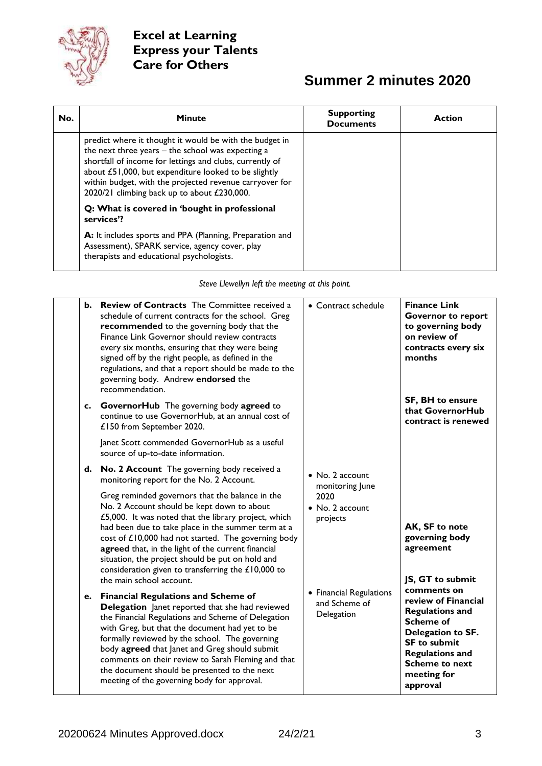

# **Summer 2 minutes 2020**

| No. | <b>Minute</b>                                                                                                                                                                                                                                                                                                                                | <b>Supporting</b><br><b>Documents</b> | Action |
|-----|----------------------------------------------------------------------------------------------------------------------------------------------------------------------------------------------------------------------------------------------------------------------------------------------------------------------------------------------|---------------------------------------|--------|
|     | predict where it thought it would be with the budget in<br>the next three years $-$ the school was expecting a<br>shortfall of income for lettings and clubs, currently of<br>about £51,000, but expenditure looked to be slightly<br>within budget, with the projected revenue carryover for<br>2020/21 climbing back up to about £230,000. |                                       |        |
|     | Q: What is covered in 'bought in professional<br>services'?                                                                                                                                                                                                                                                                                  |                                       |        |
|     | A: It includes sports and PPA (Planning, Preparation and<br>Assessment), SPARK service, agency cover, play<br>therapists and educational psychologists.                                                                                                                                                                                      |                                       |        |

*Steve Llewellyn left the meeting at this point.*

| <b>Review of Contracts</b> The Committee received a<br>b.<br>schedule of current contracts for the school. Greg<br>recommended to the governing body that the<br>Finance Link Governor should review contracts<br>every six months, ensuring that they were being<br>signed off by the right people, as defined in the<br>regulations, and that a report should be made to the<br>governing body. Andrew endorsed the<br>recommendation.                       | • Contract schedule                                    | <b>Finance Link</b><br><b>Governor to report</b><br>to governing body<br>on review of<br>contracts every six<br>months                                                                                     |
|----------------------------------------------------------------------------------------------------------------------------------------------------------------------------------------------------------------------------------------------------------------------------------------------------------------------------------------------------------------------------------------------------------------------------------------------------------------|--------------------------------------------------------|------------------------------------------------------------------------------------------------------------------------------------------------------------------------------------------------------------|
| c. GovernorHub The governing body agreed to<br>continue to use GovernorHub, at an annual cost of<br>£150 from September 2020.                                                                                                                                                                                                                                                                                                                                  |                                                        | <b>SF, BH to ensure</b><br>that GovernorHub<br>contract is renewed                                                                                                                                         |
| Janet Scott commended GovernorHub as a useful<br>source of up-to-date information.                                                                                                                                                                                                                                                                                                                                                                             |                                                        |                                                                                                                                                                                                            |
| d. No. 2 Account The governing body received a<br>monitoring report for the No. 2 Account.                                                                                                                                                                                                                                                                                                                                                                     | • No. 2 account<br>monitoring June                     |                                                                                                                                                                                                            |
| Greg reminded governors that the balance in the<br>No. 2 Account should be kept down to about<br>£5,000. It was noted that the library project, which<br>had been due to take place in the summer term at a<br>cost of £10,000 had not started. The governing body<br>agreed that, in the light of the current financial<br>situation, the project should be put on hold and<br>consideration given to transferring the £10,000 to<br>the main school account. | 2020<br>$\bullet$ No. 2 account<br>projects            | AK, SF to note<br>governing body<br>agreement<br>JS, GT to submit                                                                                                                                          |
| e. Financial Regulations and Scheme of<br>Delegation Janet reported that she had reviewed<br>the Financial Regulations and Scheme of Delegation<br>with Greg, but that the document had yet to be<br>formally reviewed by the school. The governing<br>body agreed that Janet and Greg should submit<br>comments on their review to Sarah Fleming and that<br>the document should be presented to the next<br>meeting of the governing body for approval.      | • Financial Regulations<br>and Scheme of<br>Delegation | comments on<br>review of Financial<br><b>Regulations and</b><br><b>Scheme of</b><br>Delegation to SF.<br><b>SF to submit</b><br><b>Regulations and</b><br><b>Scheme to next</b><br>meeting for<br>approval |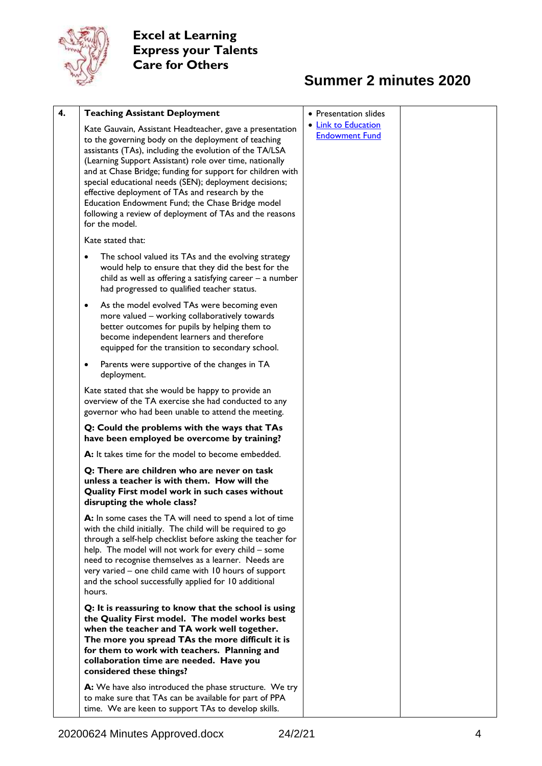

| 4. | <b>Teaching Assistant Deployment</b>                                                                                                                                                                                                                                                                                                                                                                                                                                                                                                              | • Presentation slides                        |
|----|---------------------------------------------------------------------------------------------------------------------------------------------------------------------------------------------------------------------------------------------------------------------------------------------------------------------------------------------------------------------------------------------------------------------------------------------------------------------------------------------------------------------------------------------------|----------------------------------------------|
|    | Kate Gauvain, Assistant Headteacher, gave a presentation<br>to the governing body on the deployment of teaching<br>assistants (TAs), including the evolution of the TA/LSA<br>(Learning Support Assistant) role over time, nationally<br>and at Chase Bridge; funding for support for children with<br>special educational needs (SEN); deployment decisions;<br>effective deployment of TAs and research by the<br>Education Endowment Fund; the Chase Bridge model<br>following a review of deployment of TAs and the reasons<br>for the model. | • Link to Education<br><b>Endowment Fund</b> |
|    | Kate stated that:                                                                                                                                                                                                                                                                                                                                                                                                                                                                                                                                 |                                              |
|    | The school valued its TAs and the evolving strategy<br>٠<br>would help to ensure that they did the best for the<br>child as well as offering a satisfying career $-$ a number<br>had progressed to qualified teacher status.                                                                                                                                                                                                                                                                                                                      |                                              |
|    | As the model evolved TAs were becoming even<br>٠<br>more valued - working collaboratively towards<br>better outcomes for pupils by helping them to<br>become independent learners and therefore<br>equipped for the transition to secondary school.                                                                                                                                                                                                                                                                                               |                                              |
|    | Parents were supportive of the changes in TA<br>٠<br>deployment.                                                                                                                                                                                                                                                                                                                                                                                                                                                                                  |                                              |
|    | Kate stated that she would be happy to provide an<br>overview of the TA exercise she had conducted to any<br>governor who had been unable to attend the meeting.                                                                                                                                                                                                                                                                                                                                                                                  |                                              |
|    | Q: Could the problems with the ways that TAs<br>have been employed be overcome by training?                                                                                                                                                                                                                                                                                                                                                                                                                                                       |                                              |
|    | A: It takes time for the model to become embedded.                                                                                                                                                                                                                                                                                                                                                                                                                                                                                                |                                              |
|    | Q: There are children who are never on task<br>unless a teacher is with them. How will the<br>Quality First model work in such cases without<br>disrupting the whole class?                                                                                                                                                                                                                                                                                                                                                                       |                                              |
|    | A: In some cases the TA will need to spend a lot of time<br>with the child initially. The child will be required to go<br>through a self-help checklist before asking the teacher for<br>help. The model will not work for every child - some<br>need to recognise themselves as a learner. Needs are<br>very varied - one child came with 10 hours of support<br>and the school successfully applied for 10 additional<br>hours.                                                                                                                 |                                              |
|    | Q: It is reassuring to know that the school is using<br>the Quality First model. The model works best<br>when the teacher and TA work well together.<br>The more you spread TAs the more difficult it is<br>for them to work with teachers. Planning and<br>collaboration time are needed. Have you<br>considered these things?                                                                                                                                                                                                                   |                                              |
|    | A: We have also introduced the phase structure. We try<br>to make sure that TAs can be available for part of PPA<br>time. We are keen to support TAs to develop skills.                                                                                                                                                                                                                                                                                                                                                                           |                                              |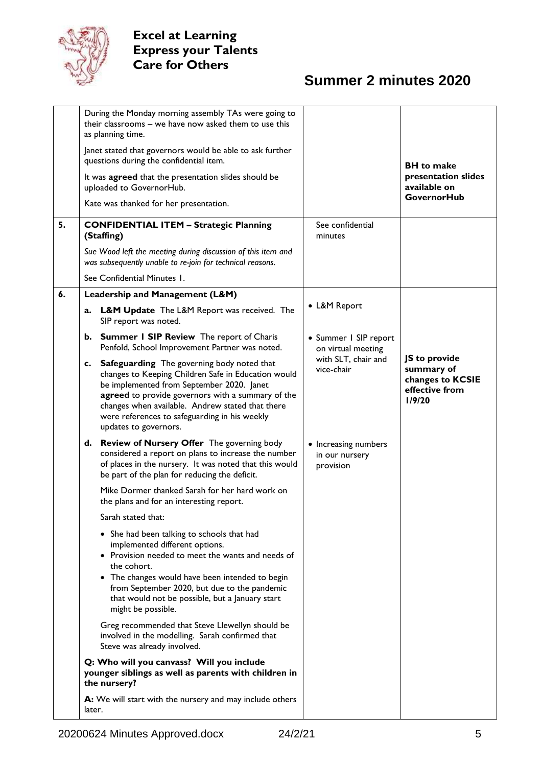

|    | During the Monday morning assembly TAs were going to<br>their classrooms - we have now asked them to use this<br>as planning time.                                                                                                                                                                                                   |                                                     |                                                                             |
|----|--------------------------------------------------------------------------------------------------------------------------------------------------------------------------------------------------------------------------------------------------------------------------------------------------------------------------------------|-----------------------------------------------------|-----------------------------------------------------------------------------|
|    | Janet stated that governors would be able to ask further<br>questions during the confidential item.                                                                                                                                                                                                                                  |                                                     | <b>BH</b> to make                                                           |
|    | It was agreed that the presentation slides should be<br>uploaded to GovernorHub.                                                                                                                                                                                                                                                     |                                                     | presentation slides<br>available on                                         |
|    | Kate was thanked for her presentation.                                                                                                                                                                                                                                                                                               |                                                     | <b>GovernorHub</b>                                                          |
| 5. | <b>CONFIDENTIAL ITEM - Strategic Planning</b><br>(Staffing)                                                                                                                                                                                                                                                                          | See confidential<br>minutes                         |                                                                             |
|    | Sue Wood left the meeting during discussion of this item and<br>was subsequently unable to re-join for technical reasons.                                                                                                                                                                                                            |                                                     |                                                                             |
|    | See Confidential Minutes 1.                                                                                                                                                                                                                                                                                                          |                                                     |                                                                             |
| 6. | Leadership and Management (L&M)                                                                                                                                                                                                                                                                                                      |                                                     |                                                                             |
|    | L&M Update The L&M Report was received. The<br>a.<br>SIP report was noted.                                                                                                                                                                                                                                                           | • L&M Report                                        |                                                                             |
|    | b. Summer I SIP Review The report of Charis<br>Penfold, School Improvement Partner was noted.                                                                                                                                                                                                                                        | • Summer I SIP report<br>on virtual meeting         |                                                                             |
|    | c. Safeguarding The governing body noted that<br>changes to Keeping Children Safe in Education would<br>be implemented from September 2020. Janet<br>agreed to provide governors with a summary of the<br>changes when available. Andrew stated that there<br>were references to safeguarding in his weekly<br>updates to governors. | with SLT, chair and<br>vice-chair                   | JS to provide<br>summary of<br>changes to KCSIE<br>effective from<br>1/9/20 |
|    | d. Review of Nursery Offer The governing body<br>considered a report on plans to increase the number<br>of places in the nursery. It was noted that this would<br>be part of the plan for reducing the deficit.                                                                                                                      | • Increasing numbers<br>in our nursery<br>provision |                                                                             |
|    | Mike Dormer thanked Sarah for her hard work on<br>the plans and for an interesting report.                                                                                                                                                                                                                                           |                                                     |                                                                             |
|    | Sarah stated that:                                                                                                                                                                                                                                                                                                                   |                                                     |                                                                             |
|    | • She had been talking to schools that had<br>implemented different options.<br>• Provision needed to meet the wants and needs of<br>the cohort.<br>• The changes would have been intended to begin<br>from September 2020, but due to the pandemic<br>that would not be possible, but a January start<br>might be possible.         |                                                     |                                                                             |
|    | Greg recommended that Steve Llewellyn should be<br>involved in the modelling. Sarah confirmed that<br>Steve was already involved.                                                                                                                                                                                                    |                                                     |                                                                             |
|    | Q: Who will you canvass? Will you include<br>younger siblings as well as parents with children in<br>the nursery?                                                                                                                                                                                                                    |                                                     |                                                                             |
|    | A: We will start with the nursery and may include others<br>later.                                                                                                                                                                                                                                                                   |                                                     |                                                                             |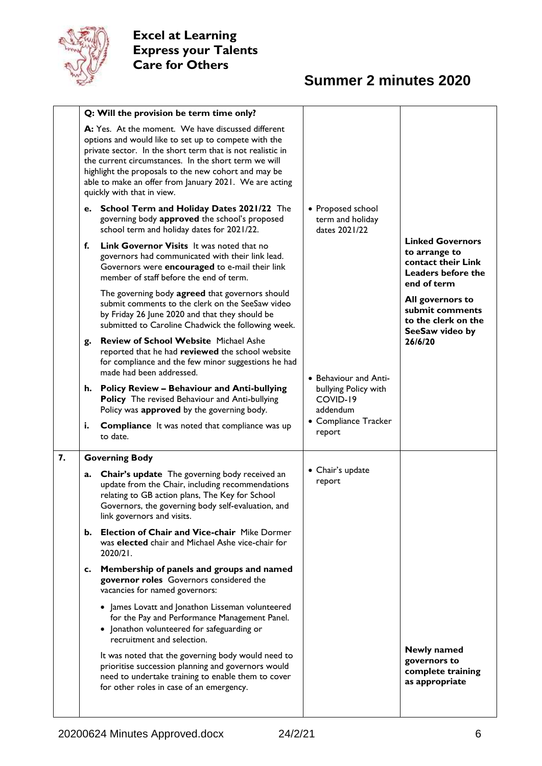

|    |    | Q: Will the provision be term time only?                                                                                                                                                                                                                                                                                                                                         |                                                                       |                                                                                                     |
|----|----|----------------------------------------------------------------------------------------------------------------------------------------------------------------------------------------------------------------------------------------------------------------------------------------------------------------------------------------------------------------------------------|-----------------------------------------------------------------------|-----------------------------------------------------------------------------------------------------|
|    |    | A: Yes. At the moment. We have discussed different<br>options and would like to set up to compete with the<br>private sector. In the short term that is not realistic in<br>the current circumstances. In the short term we will<br>highlight the proposals to the new cohort and may be<br>able to make an offer from January 2021. We are acting<br>quickly with that in view. |                                                                       |                                                                                                     |
|    |    | e. School Term and Holiday Dates 2021/22 The<br>governing body approved the school's proposed<br>school term and holiday dates for 2021/22.                                                                                                                                                                                                                                      | • Proposed school<br>term and holiday<br>dates 2021/22                |                                                                                                     |
|    | f. | Link Governor Visits It was noted that no<br>governors had communicated with their link lead.<br>Governors were encouraged to e-mail their link<br>member of staff before the end of term.                                                                                                                                                                                       |                                                                       | <b>Linked Governors</b><br>to arrange to<br>contact their Link<br>Leaders before the<br>end of term |
|    |    | The governing body agreed that governors should<br>submit comments to the clerk on the SeeSaw video<br>by Friday 26 June 2020 and that they should be<br>submitted to Caroline Chadwick the following week.                                                                                                                                                                      |                                                                       | All governors to<br>submit comments<br>to the clerk on the<br>SeeSaw video by                       |
|    | g. | <b>Review of School Website Michael Ashe</b><br>reported that he had reviewed the school website<br>for compliance and the few minor suggestions he had<br>made had been addressed.                                                                                                                                                                                              | • Behaviour and Anti-<br>bullying Policy with<br>COVID-19<br>addendum | 26/6/20                                                                                             |
|    | h. | <b>Policy Review - Behaviour and Anti-bullying</b><br><b>Policy</b> The revised Behaviour and Anti-bullying<br>Policy was approved by the governing body.                                                                                                                                                                                                                        |                                                                       |                                                                                                     |
|    | i. | <b>Compliance</b> It was noted that compliance was up<br>to date.                                                                                                                                                                                                                                                                                                                | • Compliance Tracker<br>report                                        |                                                                                                     |
| 7. |    | <b>Governing Body</b>                                                                                                                                                                                                                                                                                                                                                            |                                                                       |                                                                                                     |
|    | a. | <b>Chair's update</b> The governing body received an<br>update from the Chair, including recommendations<br>relating to GB action plans, The Key for School<br>Governors, the governing body self-evaluation, and<br>link governors and visits.                                                                                                                                  | • Chair's update<br>report                                            |                                                                                                     |
|    |    | b. Election of Chair and Vice-chair Mike Dormer<br>was elected chair and Michael Ashe vice-chair for<br>2020/21.                                                                                                                                                                                                                                                                 |                                                                       |                                                                                                     |
|    | c. | Membership of panels and groups and named<br>governor roles Governors considered the<br>vacancies for named governors:                                                                                                                                                                                                                                                           |                                                                       |                                                                                                     |
|    |    | • James Lovatt and Jonathon Lisseman volunteered<br>for the Pay and Performance Management Panel.<br>• Jonathon volunteered for safeguarding or<br>recruitment and selection.                                                                                                                                                                                                    |                                                                       |                                                                                                     |
|    |    | It was noted that the governing body would need to<br>prioritise succession planning and governors would<br>need to undertake training to enable them to cover<br>for other roles in case of an emergency.                                                                                                                                                                       |                                                                       | Newly named<br>governors to<br>complete training<br>as appropriate                                  |
|    |    |                                                                                                                                                                                                                                                                                                                                                                                  |                                                                       |                                                                                                     |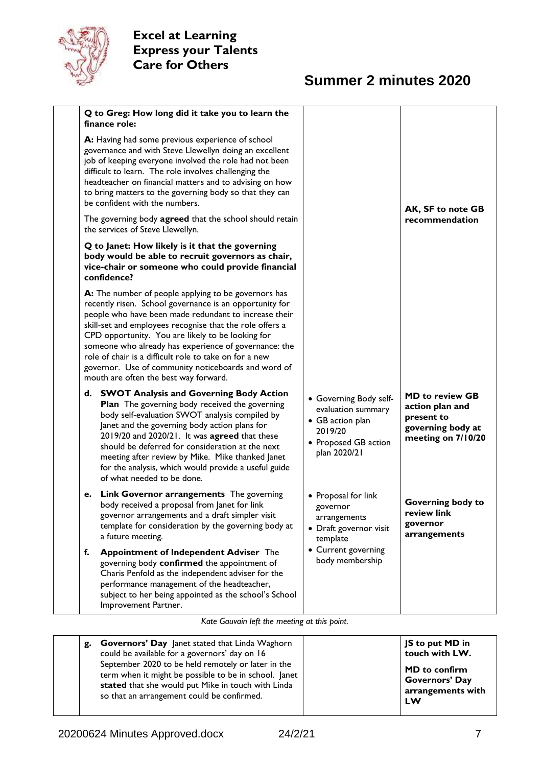

# **Summer 2 minutes 2020**

|    | Q to Greg: How long did it take you to learn the<br>finance role:                                                                                                                                                                                                                                                                                                                                                                                                                                            |                                                                                                                     |                                                                                                    |
|----|--------------------------------------------------------------------------------------------------------------------------------------------------------------------------------------------------------------------------------------------------------------------------------------------------------------------------------------------------------------------------------------------------------------------------------------------------------------------------------------------------------------|---------------------------------------------------------------------------------------------------------------------|----------------------------------------------------------------------------------------------------|
|    | A: Having had some previous experience of school<br>governance and with Steve Llewellyn doing an excellent<br>job of keeping everyone involved the role had not been<br>difficult to learn. The role involves challenging the<br>headteacher on financial matters and to advising on how<br>to bring matters to the governing body so that they can<br>be confident with the numbers.                                                                                                                        |                                                                                                                     | AK, SF to note GB                                                                                  |
|    | The governing body agreed that the school should retain<br>the services of Steve Llewellyn.                                                                                                                                                                                                                                                                                                                                                                                                                  |                                                                                                                     | recommendation                                                                                     |
|    | Q to Janet: How likely is it that the governing<br>body would be able to recruit governors as chair,<br>vice-chair or someone who could provide financial<br>confidence?                                                                                                                                                                                                                                                                                                                                     |                                                                                                                     |                                                                                                    |
|    | A: The number of people applying to be governors has<br>recently risen. School governance is an opportunity for<br>people who have been made redundant to increase their<br>skill-set and employees recognise that the role offers a<br>CPD opportunity. You are likely to be looking for<br>someone who already has experience of governance: the<br>role of chair is a difficult role to take on for a new<br>governor. Use of community noticeboards and word of<br>mouth are often the best way forward. |                                                                                                                     |                                                                                                    |
| d. | <b>SWOT Analysis and Governing Body Action</b><br>Plan The governing body received the governing<br>body self-evaluation SWOT analysis compiled by<br>Janet and the governing body action plans for<br>2019/20 and 2020/21. It was agreed that these<br>should be deferred for consideration at the next<br>meeting after review by Mike. Mike thanked Janet<br>for the analysis, which would provide a useful guide<br>of what needed to be done.                                                           | • Governing Body self-<br>evaluation summary<br>• GB action plan<br>2019/20<br>• Proposed GB action<br>plan 2020/21 | <b>MD to review GB</b><br>action plan and<br>present to<br>governing body at<br>meeting on 7/10/20 |
| e. | <b>Link Governor arrangements</b> The governing<br>body received a proposal from Janet for link<br>governor arrangements and a draft simpler visit<br>template for consideration by the governing body at<br>a future meeting.                                                                                                                                                                                                                                                                               | • Proposal for link<br>governor<br>arrangements<br>• Draft governor visit<br>template                               | Governing body to<br>review link<br>governor<br>arrangements                                       |
| f. | <b>Appointment of Independent Adviser The</b><br>governing body confirmed the appointment of<br>Charis Penfold as the independent adviser for the<br>performance management of the headteacher,<br>subject to her being appointed as the school's School<br>Improvement Partner.                                                                                                                                                                                                                             | • Current governing<br>body membership                                                                              |                                                                                                    |

*Kate Gauvain left the meeting at this point.*

| <b>Governors' Day</b> Janet stated that Linda Waghorn<br>g.<br>could be available for a governors' day on 16<br>September 2020 to be held remotely or later in the<br>term when it might be possible to be in school. Janet<br>stated that she would put Mike in touch with Linda<br>so that an arrangement could be confirmed. | JS to put MD in<br>touch with LW.<br><b>MD</b> to confirm<br><b>Governors' Day</b><br>arrangements with<br>LW |
|---------------------------------------------------------------------------------------------------------------------------------------------------------------------------------------------------------------------------------------------------------------------------------------------------------------------------------|---------------------------------------------------------------------------------------------------------------|
|---------------------------------------------------------------------------------------------------------------------------------------------------------------------------------------------------------------------------------------------------------------------------------------------------------------------------------|---------------------------------------------------------------------------------------------------------------|